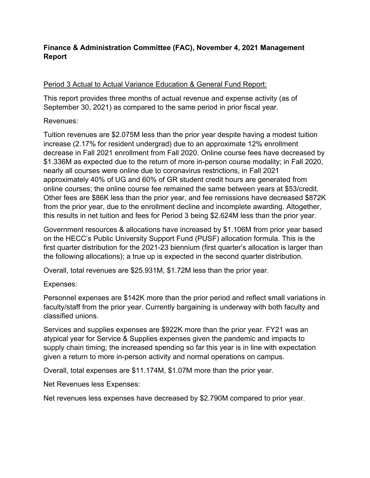# **Finance & Administration Committee (FAC), November 4, 2021 Management Report**

# Period 3 Actual to Actual Variance Education & General Fund Report:

This report provides three months of actual revenue and expense activity (as of September 30, 2021) as compared to the same period in prior fiscal year.

## Revenues:

Tuition revenues are \$2.075M less than the prior year despite having a modest tuition increase (2.17% for resident undergrad) due to an approximate 12% enrollment decrease in Fall 2021 enrollment from Fall 2020. Online course fees have decreased by \$1.336M as expected due to the return of more in-person course modality; in Fall 2020, nearly all courses were online due to coronavirus restrictions, in Fall 2021 approximately 40% of UG and 60% of GR student credit hours are generated from online courses; the online course fee remained the same between years at \$53/credit. Other fees are \$86K less than the prior year, and fee remissions have decreased \$872K from the prior year, due to the enrollment decline and incomplete awarding. Altogether, this results in net tuition and fees for Period 3 being \$2.624M less than the prior year.

Government resources & allocations have increased by \$1.106M from prior year based on the HECC's Public University Support Fund (PUSF) allocation formula. This is the first quarter distribution for the 2021-23 biennium (first quarter's allocation is larger than the following allocations); a true up is expected in the second quarter distribution.

Overall, total revenues are \$25.931M, \$1.72M less than the prior year.

Expenses:

Personnel expenses are \$142K more than the prior period and reflect small variations in faculty/staff from the prior year. Currently bargaining is underway with both faculty and classified unions.

Services and supplies expenses are \$922K more than the prior year. FY21 was an atypical year for Service & Supplies expenses given the pandemic and impacts to supply chain timing; the increased spending so far this year is in line with expectation given a return to more in-person activity and normal operations on campus.

Overall, total expenses are \$11.174M, \$1.07M more than the prior year.

Net Revenues less Expenses:

Net revenues less expenses have decreased by \$2.790M compared to prior year.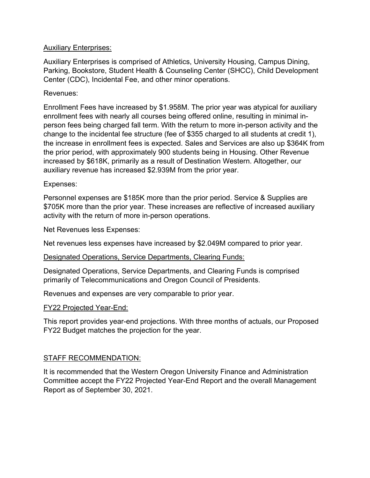## Auxiliary Enterprises:

Auxiliary Enterprises is comprised of Athletics, University Housing, Campus Dining, Parking, Bookstore, Student Health & Counseling Center (SHCC), Child Development Center (CDC), Incidental Fee, and other minor operations.

## Revenues:

Enrollment Fees have increased by \$1.958M. The prior year was atypical for auxiliary enrollment fees with nearly all courses being offered online, resulting in minimal inperson fees being charged fall term. With the return to more in-person activity and the change to the incidental fee structure (fee of \$355 charged to all students at credit 1), the increase in enrollment fees is expected. Sales and Services are also up \$364K from the prior period, with approximately 900 students being in Housing. Other Revenue increased by \$618K, primarily as a result of Destination Western. Altogether, our auxiliary revenue has increased \$2.939M from the prior year.

## Expenses:

Personnel expenses are \$185K more than the prior period. Service & Supplies are \$705K more than the prior year. These increases are reflective of increased auxiliary activity with the return of more in-person operations.

Net Revenues less Expenses:

Net revenues less expenses have increased by \$2.049M compared to prior year.

# Designated Operations, Service Departments, Clearing Funds:

Designated Operations, Service Departments, and Clearing Funds is comprised primarily of Telecommunications and Oregon Council of Presidents.

Revenues and expenses are very comparable to prior year.

### FY22 Projected Year-End:

This report provides year-end projections. With three months of actuals, our Proposed FY22 Budget matches the projection for the year.

### STAFF RECOMMENDATION:

It is recommended that the Western Oregon University Finance and Administration Committee accept the FY22 Projected Year-End Report and the overall Management Report as of September 30, 2021.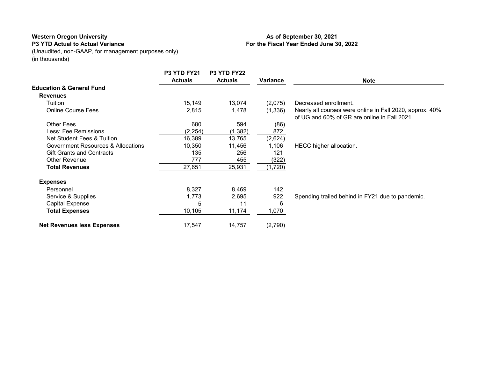### **P3 YTD Actual to Actual Variance**

(Unaudited, non-GAAP, for management purposes only) (in thousands)

### **As of September 30, 2021 For the Fiscal Year Ended June 30, 2022**

|                                     | P3 YTD FY21<br><b>Actuals</b> | P3 YTD FY22<br><b>Actuals</b> | Variance | <b>Note</b>                                                                                              |
|-------------------------------------|-------------------------------|-------------------------------|----------|----------------------------------------------------------------------------------------------------------|
| <b>Education &amp; General Fund</b> |                               |                               |          |                                                                                                          |
| <b>Revenues</b>                     |                               |                               |          |                                                                                                          |
| Tuition                             | 15,149                        | 13,074                        | (2,075)  | Decreased enrollment.                                                                                    |
| <b>Online Course Fees</b>           | 2,815                         | 1,478                         | (1,336)  | Nearly all courses were online in Fall 2020, approx. 40%<br>of UG and 60% of GR are online in Fall 2021. |
| <b>Other Fees</b>                   | 680                           | 594                           | (86)     |                                                                                                          |
| Less: Fee Remissions                | (2, 254)                      | (1, 382)                      | 872      |                                                                                                          |
| Net Student Fees & Tuition          | 16,389                        | 13,765                        | (2,624)  |                                                                                                          |
| Government Resources & Allocations  | 10,350                        | 11,456                        | 1,106    | HECC higher allocation.                                                                                  |
| <b>Gift Grants and Contracts</b>    | 135                           | 256                           | 121      |                                                                                                          |
| Other Revenue                       | 777                           | 455                           | (322)    |                                                                                                          |
| <b>Total Revenues</b>               | 27,651                        | 25,931                        | 1,720)   |                                                                                                          |
| <b>Expenses</b>                     |                               |                               |          |                                                                                                          |
| Personnel                           | 8,327                         | 8,469                         | 142      |                                                                                                          |
| Service & Supplies                  | 1,773                         | 2,695                         | 922      | Spending trailed behind in FY21 due to pandemic.                                                         |
| <b>Capital Expense</b>              | 5                             | 11                            | 6        |                                                                                                          |
| <b>Total Expenses</b>               | 10,105                        | 11,174                        | 1,070    |                                                                                                          |
| <b>Net Revenues less Expenses</b>   | 17,547                        | 14,757                        | (2,790)  |                                                                                                          |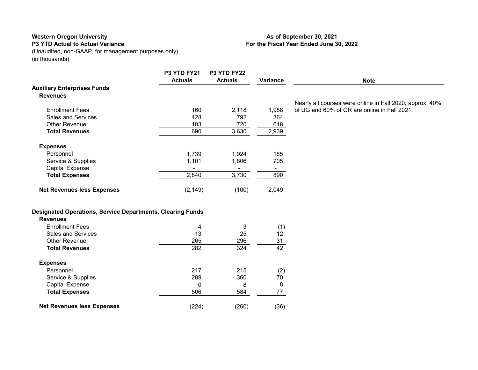### **P3 YTD Actual to Actual Variance**

(Unaudited, non-GAAP, for management purposes only) (in thousands)

## **P3 YTD FY21 P3 YTD FY22 Actuals Actuals Variance Note Auxiliary Enterprises Funds Revenues** Enrollment Fees 160 2,118 1,958 Nearly all courses were online in Fall 2020, approx. 40% of UG and 60% of GR are online in Fall 2021. Sales and Services **628** 128 128 1292 1364 Other Revenue **103** 720 618<br> **Total Revenues** 690 3,630 2,939 **Total Revenues** 690 **Expenses** Personnel 1,739 1,924 185 Service & Supplies 2008 1,101 2006 705 Capital Expense - - - **Total Expenses 2,840** 3,730 890 **Net Revenues less Expenses** (2,149) (100) 2,049 **Designated Operations, Service Departments, Clearing Funds Revenues** Enrollment Fees (1) 4 3 (1) Sales and Services 13 25 12 Other Revenue<br>
Total Revenues<br>
282 282 324 42 **Total Revenues** 282 324 42 **Expenses** Personnel 217 215 (2) Service & Supplies 289 289 360 70 Capital Expense  $\frac{0}{506}$   $\frac{8}{584}$   $\frac{8}{77}$ **Total Expenses Net Revenues less Expenses** (224) (260) (36)

### **As of September 30, 2021 For the Fiscal Year Ended June 30, 2022**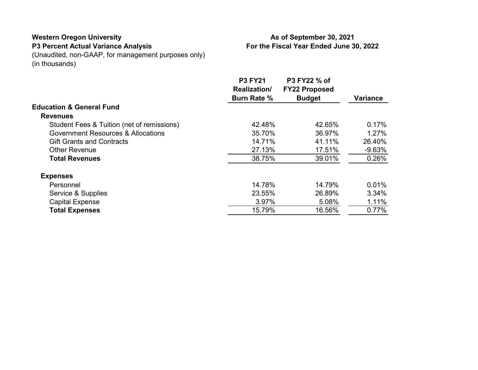### **Western Oregon University P3 Percent Actual Variance Analysis**

### **As of September 30, 2021 For the Fiscal Year Ended June 30, 2022**

(Unaudited, non-GAAP, for management purposes only) (in thousands)

|                                               | <b>P3 FY21</b><br>Realization/ | P3 FY22 % of<br><b>FY22 Proposed</b> |                 |
|-----------------------------------------------|--------------------------------|--------------------------------------|-----------------|
|                                               | <b>Burn Rate %</b>             | <b>Budget</b>                        | <b>Variance</b> |
| <b>Education &amp; General Fund</b>           |                                |                                      |                 |
| <b>Revenues</b>                               |                                |                                      |                 |
| Student Fees & Tuition (net of remissions)    | 42.48%                         | 42.65%                               | 0.17%           |
| <b>Government Resources &amp; Allocations</b> | 35.70%                         | 36.97%                               | 1.27%           |
| <b>Gift Grants and Contracts</b>              | 14.71%                         | 41.11%                               | 26.40%          |
| <b>Other Revenue</b>                          | 27.13%                         | 17.51%                               | $-9.63%$        |
| <b>Total Revenues</b>                         | 38.75%                         | 39.01%                               | 0.26%           |
| <b>Expenses</b>                               |                                |                                      |                 |
| Personnel                                     | 14.78%                         | 14.79%                               | 0.01%           |
| Service & Supplies                            | 23.55%                         | 26.89%                               | 3.34%           |
| <b>Capital Expense</b>                        | 3.97%                          | 5.08%                                | 1.11%           |
| <b>Total Expenses</b>                         | 15.79%                         | 16.56%                               | 0.77%           |
|                                               |                                |                                      |                 |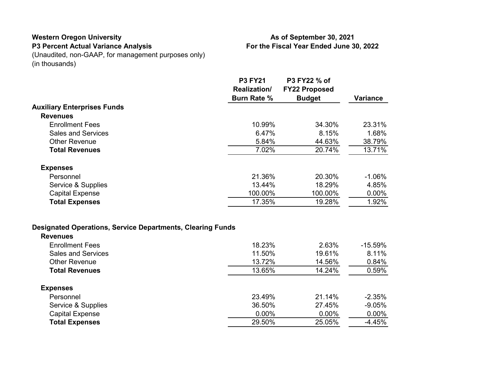### **Western Oregon University P3 Percent Actual Variance Analysis**

## **As of September 30, 2021 For the Fiscal Year Ended June 30, 2022**

(Unaudited, non-GAAP, for management purposes only) (in thousands)

|                                                                   | <b>P3 FY21</b><br><b>Realization/</b><br><b>Burn Rate %</b> | P3 FY22 % of<br><b>FY22 Proposed</b><br><b>Budget</b> | <b>Variance</b> |
|-------------------------------------------------------------------|-------------------------------------------------------------|-------------------------------------------------------|-----------------|
| <b>Auxiliary Enterprises Funds</b>                                |                                                             |                                                       |                 |
| <b>Revenues</b>                                                   |                                                             |                                                       |                 |
| <b>Enrollment Fees</b>                                            | 10.99%                                                      | 34.30%                                                | 23.31%          |
| <b>Sales and Services</b>                                         | 6.47%                                                       | 8.15%                                                 | 1.68%           |
| <b>Other Revenue</b>                                              | 5.84%                                                       | 44.63%                                                | 38.79%          |
| <b>Total Revenues</b>                                             | 7.02%                                                       | 20.74%                                                | 13.71%          |
| <b>Expenses</b>                                                   |                                                             |                                                       |                 |
| Personnel                                                         | 21.36%                                                      | 20.30%                                                | $-1.06%$        |
| Service & Supplies                                                | 13.44%                                                      | 18.29%                                                | 4.85%           |
| <b>Capital Expense</b>                                            | 100.00%                                                     | 100.00%                                               | $0.00\%$        |
| <b>Total Expenses</b>                                             | 17.35%                                                      | 19.28%                                                | 1.92%           |
|                                                                   |                                                             |                                                       |                 |
| <b>Designated Operations, Service Departments, Clearing Funds</b> |                                                             |                                                       |                 |

| <b>Revenues</b>           |          |          |            |
|---------------------------|----------|----------|------------|
| <b>Enrollment Fees</b>    | 18.23%   | 2.63%    | $-15.59\%$ |
| <b>Sales and Services</b> | 11.50%   | 19.61%   | 8.11%      |
| <b>Other Revenue</b>      | 13.72%   | 14.56%   | 0.84%      |
| <b>Total Revenues</b>     | 13.65%   | 14.24%   | 0.59%      |
| <b>Expenses</b>           |          |          |            |
| Personnel                 | 23.49%   | 21.14%   | $-2.35%$   |
| Service & Supplies        | 36.50%   | 27.45%   | $-9.05%$   |
| <b>Capital Expense</b>    | $0.00\%$ | $0.00\%$ | $0.00\%$   |
| <b>Total Expenses</b>     | 29.50%   | 25.05%   | $-4.45%$   |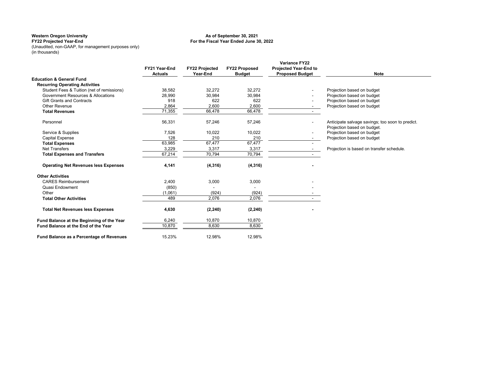#### **For the Fiscal Year Ended June 30, 2022 As of September 30, 2021**

**FY22 Projected Year-End** (Unaudited, non-GAAP, for management purposes only) (in thousands)

|                                             | FY21 Year-End<br><b>Actuals</b> | <b>FY22 Projected</b><br>Year-End | <b>FY22 Proposed</b><br><b>Budget</b> | <b>Variance FY22</b><br><b>Projected Year-End to</b><br><b>Proposed Budget</b> | <b>Note</b>                                                                     |
|---------------------------------------------|---------------------------------|-----------------------------------|---------------------------------------|--------------------------------------------------------------------------------|---------------------------------------------------------------------------------|
| <b>Education &amp; General Fund</b>         |                                 |                                   |                                       |                                                                                |                                                                                 |
| <b>Recurring Operating Activities</b>       |                                 |                                   |                                       |                                                                                |                                                                                 |
| Student Fees & Tuition (net of remissions)  | 38,582                          | 32,272                            | 32.272                                |                                                                                | Projection based on budget                                                      |
| Government Resources & Allocations          | 28,990                          | 30,984                            | 30,984                                |                                                                                | Projection based on budget                                                      |
| <b>Gift Grants and Contracts</b>            | 918                             | 622                               | 622                                   |                                                                                | Projection based on budget                                                      |
| <b>Other Revenue</b>                        | 2,864                           | 2.600                             | 2,600                                 | $\sim$                                                                         | Projection based on budget                                                      |
| <b>Total Revenues</b>                       | 71,355                          | 66.478                            | 66,478                                |                                                                                |                                                                                 |
| Personnel                                   | 56,331                          | 57,246                            | 57,246                                |                                                                                | Anticipate salvage savings; too soon to predict.<br>Projection based on budget. |
| Service & Supplies                          | 7,526                           | 10,022                            | 10,022                                | $\blacksquare$                                                                 | Projection based on budget                                                      |
| <b>Capital Expense</b>                      | 128                             | 210                               | 210                                   |                                                                                | Projection based on budget                                                      |
| <b>Total Expenses</b>                       | 63,985                          | 67,477                            | 67,477                                |                                                                                |                                                                                 |
| <b>Net Transfers</b>                        | 3,229                           | 3,317                             | 3,317                                 |                                                                                | Projection is based on transfer schedule.                                       |
| <b>Total Expenses and Transfers</b>         | 67,214                          | 70,794                            | 70,794                                | $\sim$                                                                         |                                                                                 |
| <b>Operating Net Revenues less Expenses</b> | 4,141                           | (4, 316)                          | (4, 316)                              |                                                                                |                                                                                 |
| <b>Other Activities</b>                     |                                 |                                   |                                       |                                                                                |                                                                                 |
| <b>CARES Reimbursement</b>                  | 2,400                           | 3,000                             | 3,000                                 |                                                                                |                                                                                 |
| Quasi Endowment                             | (850)                           |                                   |                                       |                                                                                |                                                                                 |
| Other                                       | (1,061)                         | (924)                             | (924)                                 |                                                                                |                                                                                 |
| <b>Total Other Activities</b>               | 489                             | 2.076                             | 2,076                                 |                                                                                |                                                                                 |
| <b>Total Net Revenues less Expenses</b>     | 4,630                           | (2, 240)                          | (2, 240)                              |                                                                                |                                                                                 |
| Fund Balance at the Beginning of the Year   | 6,240                           | 10,870                            | 10,870                                |                                                                                |                                                                                 |
| Fund Balance at the End of the Year         | 10,870                          | 8,630                             | 8,630                                 |                                                                                |                                                                                 |
| Fund Balance as a Percentage of Revenues    | 15.23%                          | 12.98%                            | 12.98%                                |                                                                                |                                                                                 |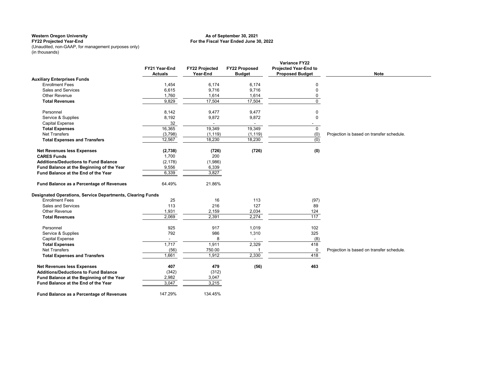### **For the Fiscal Year Ended June 30, 2022 As of September 30, 2021**

**FY22 Projected Year-End** (Unaudited, non-GAAP, for management purposes only) (in thousands)

|                                                            | FY21 Year-End<br><b>Actuals</b> | <b>FY22 Projected</b><br>Year-End | <b>FY22 Proposed</b><br><b>Budget</b> | <b>Variance FY22</b><br><b>Projected Year-End to</b><br><b>Proposed Budget</b> | <b>Note</b>                               |
|------------------------------------------------------------|---------------------------------|-----------------------------------|---------------------------------------|--------------------------------------------------------------------------------|-------------------------------------------|
| <b>Auxiliary Enterprises Funds</b>                         |                                 |                                   |                                       |                                                                                |                                           |
| <b>Enrollment Fees</b>                                     | 1,454                           | 6,174                             | 6.174                                 | 0                                                                              |                                           |
| <b>Sales and Services</b>                                  | 6,615                           | 9,716                             | 9,716                                 | $\mathbf 0$                                                                    |                                           |
| Other Revenue                                              | 1,760                           | 1,614                             | 1,614                                 | $\mathbf 0$                                                                    |                                           |
| <b>Total Revenues</b>                                      | 9,829                           | 17,504                            | 17,504                                | $\Omega$                                                                       |                                           |
| Personnel                                                  | 8,142                           | 9,477                             | 9,477                                 | 0                                                                              |                                           |
| Service & Supplies                                         | 8,192                           | 9,872                             | 9,872                                 | $\mathbf 0$                                                                    |                                           |
| <b>Capital Expense</b>                                     | 32                              |                                   |                                       |                                                                                |                                           |
| <b>Total Expenses</b>                                      | 16,365                          | 19,349                            | 19,349                                | $\mathbf{0}$                                                                   |                                           |
| <b>Net Transfers</b>                                       | (3,798)                         | (1, 119)                          | (1, 119)                              | (0)                                                                            | Projection is based on transfer schedule. |
| <b>Total Expenses and Transfers</b>                        | 12,567                          | 18,230                            | 18,230                                | (0)                                                                            |                                           |
| <b>Net Revenues less Expenses</b>                          | (2,738)                         | (726)                             | (726)                                 | (0)                                                                            |                                           |
| <b>CARES Funds</b>                                         | 1,700                           | 200                               |                                       |                                                                                |                                           |
| <b>Additions/Deductions to Fund Balance</b>                | (2, 178)                        | (1,986)                           |                                       |                                                                                |                                           |
| Fund Balance at the Beginning of the Year                  | 9,556                           | 6,339                             |                                       |                                                                                |                                           |
| Fund Balance at the End of the Year                        | 6,339                           | 3,827                             |                                       |                                                                                |                                           |
| Fund Balance as a Percentage of Revenues                   | 64.49%                          | 21.86%                            |                                       |                                                                                |                                           |
| Designated Operations, Service Departments, Clearing Funds |                                 |                                   |                                       |                                                                                |                                           |
| <b>Enrollment Fees</b>                                     | 25                              | 16                                | 113                                   | (97)                                                                           |                                           |
| Sales and Services                                         | 113                             | 216                               | 127                                   | 89                                                                             |                                           |
| Other Revenue                                              | 1,931                           | 2,159                             | 2,034                                 | 124                                                                            |                                           |
| <b>Total Revenues</b>                                      | 2,069                           | 2,391                             | 2,274                                 | 117                                                                            |                                           |
| Personnel                                                  | 925                             | 917                               | 1,019                                 | 102                                                                            |                                           |
| Service & Supplies                                         | 792                             | 986                               | 1,310                                 | 325                                                                            |                                           |
| <b>Capital Expense</b>                                     | $\overline{\phantom{a}}$        | 8                                 | $\overline{\phantom{a}}$              | (8)                                                                            |                                           |
| <b>Total Expenses</b>                                      | 1,717                           | 1,911                             | 2,329                                 | 418                                                                            |                                           |
| <b>Net Transfers</b>                                       | (56)                            | 750.00                            |                                       | 0                                                                              | Projection is based on transfer schedule. |
| <b>Total Expenses and Transfers</b>                        | 1,661                           | 1,912                             | 2,330                                 | 418                                                                            |                                           |
| <b>Net Revenues less Expenses</b>                          | 407                             | 479                               | (56)                                  | 463                                                                            |                                           |
| <b>Additions/Deductions to Fund Balance</b>                | (342)                           | (312)                             |                                       |                                                                                |                                           |
| Fund Balance at the Beginning of the Year                  | 2,982                           | 3,047                             |                                       |                                                                                |                                           |
| Fund Balance at the End of the Year                        | 3,047                           | 3,215                             |                                       |                                                                                |                                           |
| Fund Balance as a Percentage of Revenues                   | 147.29%                         | 134.45%                           |                                       |                                                                                |                                           |